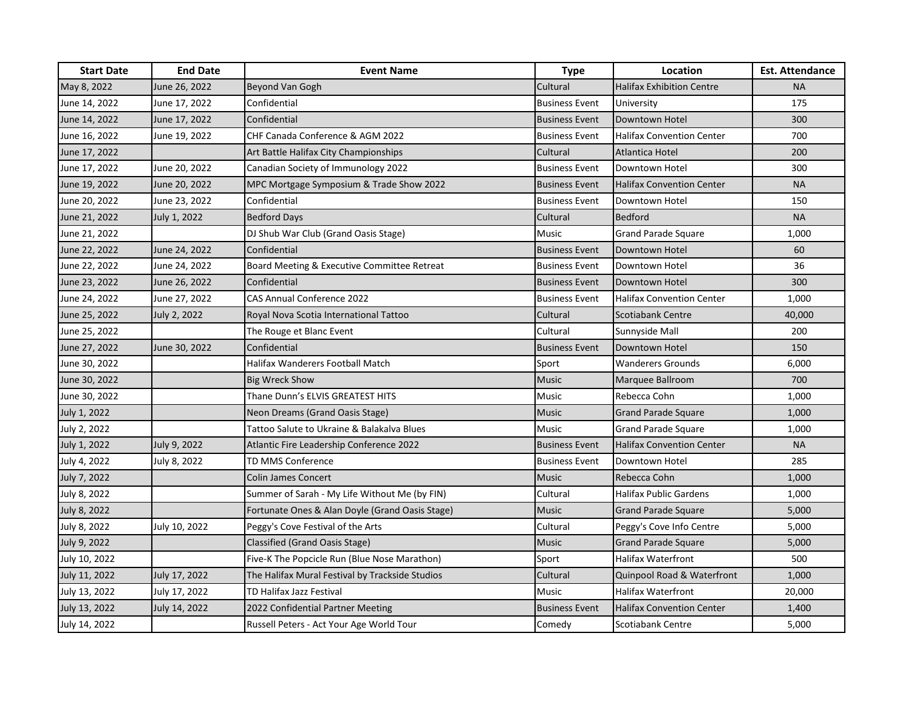| <b>Start Date</b> | <b>End Date</b> | <b>Event Name</b>                               | <b>Type</b>           | Location                         | <b>Est. Attendance</b> |
|-------------------|-----------------|-------------------------------------------------|-----------------------|----------------------------------|------------------------|
| May 8, 2022       | June 26, 2022   | Beyond Van Gogh                                 | Cultural              | <b>Halifax Exhibition Centre</b> | <b>NA</b>              |
| June 14, 2022     | June 17, 2022   | Confidential                                    | <b>Business Event</b> | University                       | 175                    |
| June 14, 2022     | June 17, 2022   | Confidential                                    | <b>Business Event</b> | Downtown Hotel                   | 300                    |
| June 16, 2022     | June 19, 2022   | <b>CHF Canada Conference &amp; AGM 2022</b>     | <b>Business Event</b> | <b>Halifax Convention Center</b> | 700                    |
| June 17, 2022     |                 | Art Battle Halifax City Championships           | Cultural              | Atlantica Hotel                  | 200                    |
| June 17, 2022     | June 20, 2022   | Canadian Society of Immunology 2022             | <b>Business Event</b> | Downtown Hotel                   | 300                    |
| June 19, 2022     | June 20, 2022   | MPC Mortgage Symposium & Trade Show 2022        | <b>Business Event</b> | <b>Halifax Convention Center</b> | <b>NA</b>              |
| June 20, 2022     | June 23, 2022   | Confidential                                    | <b>Business Event</b> | Downtown Hotel                   | 150                    |
| June 21, 2022     | July 1, 2022    | <b>Bedford Days</b>                             | Cultural              | <b>Bedford</b>                   | <b>NA</b>              |
| June 21, 2022     |                 | DJ Shub War Club (Grand Oasis Stage)            | <b>Music</b>          | <b>Grand Parade Square</b>       | 1,000                  |
| June 22, 2022     | June 24, 2022   | Confidential                                    | <b>Business Event</b> | Downtown Hotel                   | 60                     |
| June 22, 2022     | June 24, 2022   | Board Meeting & Executive Committee Retreat     | <b>Business Event</b> | Downtown Hotel                   | 36                     |
| June 23, 2022     | June 26, 2022   | Confidential                                    | <b>Business Event</b> | Downtown Hotel                   | 300                    |
| June 24, 2022     | June 27, 2022   | CAS Annual Conference 2022                      | <b>Business Event</b> | <b>Halifax Convention Center</b> | 1,000                  |
| June 25, 2022     | July 2, 2022    | Royal Nova Scotia International Tattoo          | Cultural              | Scotiabank Centre                | 40,000                 |
| June 25, 2022     |                 | The Rouge et Blanc Event                        | Cultural              | Sunnyside Mall                   | 200                    |
| June 27, 2022     | June 30, 2022   | Confidential                                    | <b>Business Event</b> | Downtown Hotel                   | 150                    |
| June 30, 2022     |                 | Halifax Wanderers Football Match                | Sport                 | <b>Wanderers Grounds</b>         | 6,000                  |
| June 30, 2022     |                 | <b>Big Wreck Show</b>                           | <b>Music</b>          | Marquee Ballroom                 | 700                    |
| June 30, 2022     |                 | Thane Dunn's ELVIS GREATEST HITS                | <b>Music</b>          | Rebecca Cohn                     | 1,000                  |
| July 1, 2022      |                 | Neon Dreams (Grand Oasis Stage)                 | Music                 | <b>Grand Parade Square</b>       | 1,000                  |
| July 2, 2022      |                 | Tattoo Salute to Ukraine & Balakalva Blues      | Music                 | Grand Parade Square              | 1,000                  |
| July 1, 2022      | July 9, 2022    | <b>Atlantic Fire Leadership Conference 2022</b> | <b>Business Event</b> | <b>Halifax Convention Center</b> | <b>NA</b>              |
| July 4, 2022      | July 8, 2022    | <b>TD MMS Conference</b>                        | <b>Business Event</b> | Downtown Hotel                   | 285                    |
| July 7, 2022      |                 | <b>Colin James Concert</b>                      | <b>Music</b>          | Rebecca Cohn                     | 1,000                  |
| July 8, 2022      |                 | Summer of Sarah - My Life Without Me (by FIN)   | Cultural              | <b>Halifax Public Gardens</b>    | 1,000                  |
| July 8, 2022      |                 | Fortunate Ones & Alan Doyle (Grand Oasis Stage) | <b>Music</b>          | <b>Grand Parade Square</b>       | 5,000                  |
| July 8, 2022      | July 10, 2022   | Peggy's Cove Festival of the Arts               | Cultural              | Peggy's Cove Info Centre         | 5,000                  |
| July 9, 2022      |                 | Classified (Grand Oasis Stage)                  | <b>Music</b>          | <b>Grand Parade Square</b>       | 5,000                  |
| July 10, 2022     |                 | Five-K The Popcicle Run (Blue Nose Marathon)    | Sport                 | Halifax Waterfront               | 500                    |
| July 11, 2022     | July 17, 2022   | The Halifax Mural Festival by Trackside Studios | Cultural              | Quinpool Road & Waterfront       | 1,000                  |
| July 13, 2022     | July 17, 2022   | TD Halifax Jazz Festival                        | Music                 | <b>Halifax Waterfront</b>        | 20,000                 |
| July 13, 2022     | July 14, 2022   | 2022 Confidential Partner Meeting               | <b>Business Event</b> | <b>Halifax Convention Center</b> | 1,400                  |
| July 14, 2022     |                 | Russell Peters - Act Your Age World Tour        | Comedy                | Scotiabank Centre                | 5,000                  |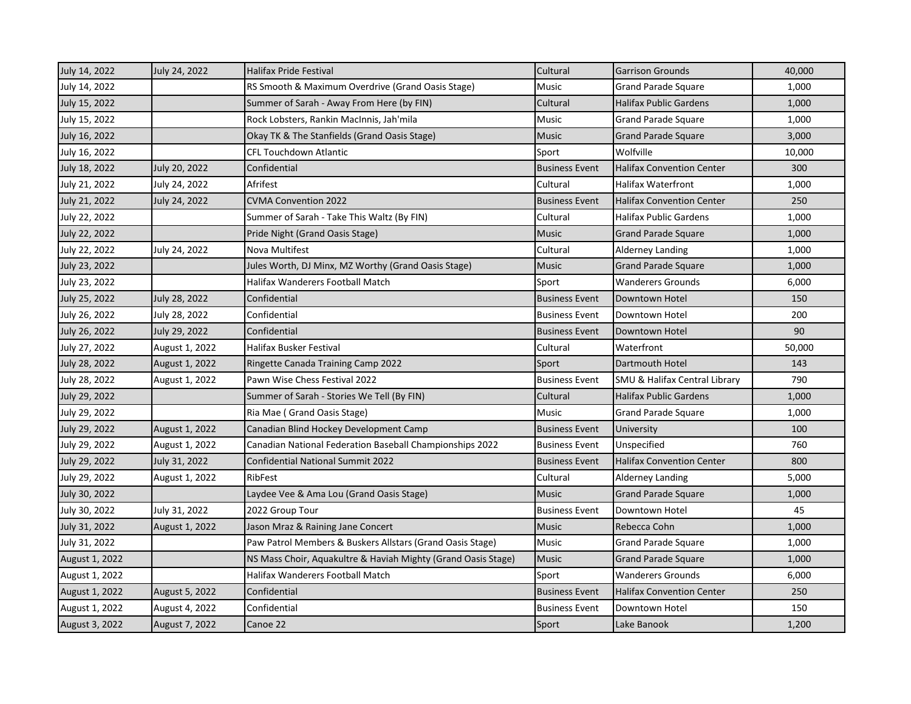| July 14, 2022  | July 24, 2022         | <b>Halifax Pride Festival</b>                                 | Cultural              | <b>Garrison Grounds</b>                  | 40,000 |
|----------------|-----------------------|---------------------------------------------------------------|-----------------------|------------------------------------------|--------|
| July 14, 2022  |                       | RS Smooth & Maximum Overdrive (Grand Oasis Stage)             | Music                 | <b>Grand Parade Square</b>               | 1,000  |
| July 15, 2022  |                       | Summer of Sarah - Away From Here (by FIN)                     | Cultural              | <b>Halifax Public Gardens</b>            | 1,000  |
| July 15, 2022  |                       | Rock Lobsters, Rankin MacInnis, Jah'mila                      | <b>Music</b>          | <b>Grand Parade Square</b>               | 1,000  |
| July 16, 2022  |                       | Okay TK & The Stanfields (Grand Oasis Stage)                  | <b>Music</b>          | <b>Grand Parade Square</b>               | 3,000  |
| July 16, 2022  |                       | <b>CFL Touchdown Atlantic</b>                                 | Sport                 | Wolfville                                | 10,000 |
| July 18, 2022  | July 20, 2022         | Confidential                                                  | <b>Business Event</b> | <b>Halifax Convention Center</b>         | 300    |
| July 21, 2022  | July 24, 2022         | Afrifest                                                      | Cultural              | <b>Halifax Waterfront</b>                | 1,000  |
| July 21, 2022  | July 24, 2022         | <b>CVMA Convention 2022</b>                                   | <b>Business Event</b> | <b>Halifax Convention Center</b>         | 250    |
| July 22, 2022  |                       | Summer of Sarah - Take This Waltz (By FIN)                    | Cultural              | <b>Halifax Public Gardens</b>            | 1,000  |
| July 22, 2022  |                       | Pride Night (Grand Oasis Stage)                               | <b>Music</b>          | <b>Grand Parade Square</b>               | 1,000  |
| July 22, 2022  | July 24, 2022         | Nova Multifest                                                | Cultural              | <b>Alderney Landing</b>                  | 1,000  |
| July 23, 2022  |                       | Jules Worth, DJ Minx, MZ Worthy (Grand Oasis Stage)           | <b>Music</b>          | <b>Grand Parade Square</b>               | 1,000  |
| July 23, 2022  |                       | <b>Halifax Wanderers Football Match</b>                       | Sport                 | <b>Wanderers Grounds</b>                 | 6,000  |
| July 25, 2022  | July 28, 2022         | Confidential                                                  | <b>Business Event</b> | Downtown Hotel                           | 150    |
| July 26, 2022  | July 28, 2022         | Confidential                                                  | <b>Business Event</b> | Downtown Hotel                           | 200    |
| July 26, 2022  | July 29, 2022         | Confidential                                                  | <b>Business Event</b> | Downtown Hotel                           | 90     |
| July 27, 2022  | August 1, 2022        | Halifax Busker Festival                                       | Cultural              | Waterfront                               | 50,000 |
| July 28, 2022  | August 1, 2022        | Ringette Canada Training Camp 2022                            | Sport                 | Dartmouth Hotel                          | 143    |
| July 28, 2022  | August 1, 2022        | Pawn Wise Chess Festival 2022                                 | <b>Business Event</b> | <b>SMU &amp; Halifax Central Library</b> | 790    |
| July 29, 2022  |                       | Summer of Sarah - Stories We Tell (By FIN)                    | Cultural              | <b>Halifax Public Gardens</b>            | 1,000  |
| July 29, 2022  |                       | Ria Mae (Grand Oasis Stage)                                   | <b>Music</b>          | Grand Parade Square                      | 1,000  |
| July 29, 2022  | August 1, 2022        | Canadian Blind Hockey Development Camp                        | <b>Business Event</b> | University                               | 100    |
| July 29, 2022  | August 1, 2022        | Canadian National Federation Baseball Championships 2022      | <b>Business Event</b> | Unspecified                              | 760    |
| July 29, 2022  | July 31, 2022         | <b>Confidential National Summit 2022</b>                      | <b>Business Event</b> | <b>Halifax Convention Center</b>         | 800    |
| July 29, 2022  | August 1, 2022        | RibFest                                                       | Cultural              | <b>Alderney Landing</b>                  | 5,000  |
| July 30, 2022  |                       | Laydee Vee & Ama Lou (Grand Oasis Stage)                      | <b>Music</b>          | <b>Grand Parade Square</b>               | 1,000  |
| July 30, 2022  | July 31, 2022         | 2022 Group Tour                                               | <b>Business Event</b> | Downtown Hotel                           | 45     |
| July 31, 2022  | August 1, 2022        | Jason Mraz & Raining Jane Concert                             | <b>Music</b>          | Rebecca Cohn                             | 1,000  |
| July 31, 2022  |                       | Paw Patrol Members & Buskers Allstars (Grand Oasis Stage)     | Music                 | <b>Grand Parade Square</b>               | 1,000  |
| August 1, 2022 |                       | NS Mass Choir, Aquakultre & Haviah Mighty (Grand Oasis Stage) | <b>Music</b>          | <b>Grand Parade Square</b>               | 1,000  |
| August 1, 2022 |                       | Halifax Wanderers Football Match                              | Sport                 | <b>Wanderers Grounds</b>                 | 6,000  |
| August 1, 2022 | <b>August 5, 2022</b> | Confidential                                                  | <b>Business Event</b> | <b>Halifax Convention Center</b>         | 250    |
| August 1, 2022 | August 4, 2022        | Confidential                                                  | <b>Business Event</b> | Downtown Hotel                           | 150    |
| August 3, 2022 | August 7, 2022        | Canoe 22                                                      | Sport                 | Lake Banook                              | 1,200  |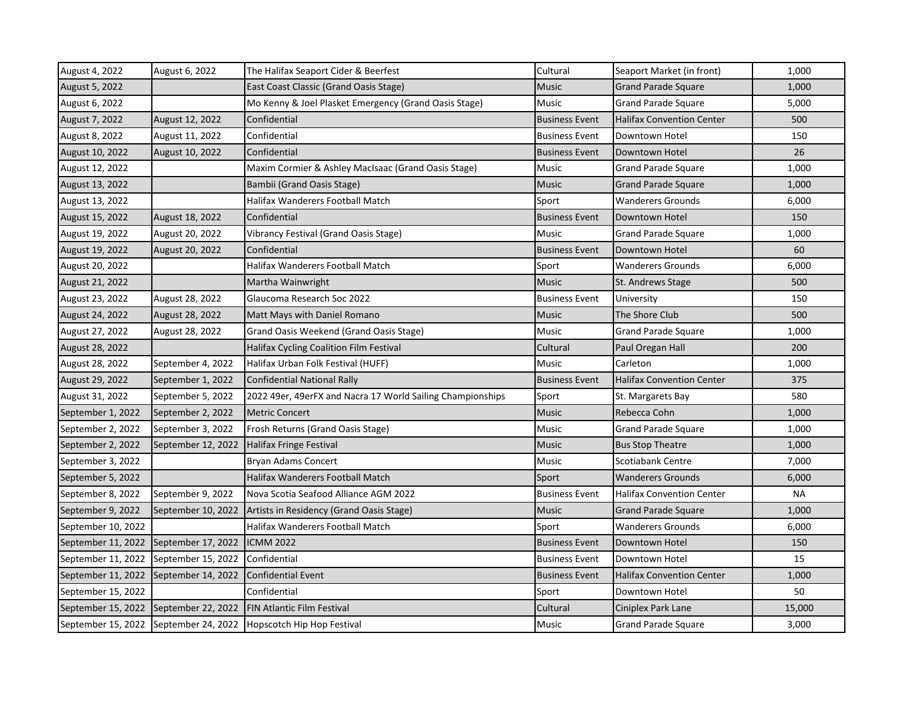| August 4, 2022     | August 6, 2022     | The Halifax Seaport Cider & Beerfest                       | Cultural              | Seaport Market (in front)        | 1,000  |
|--------------------|--------------------|------------------------------------------------------------|-----------------------|----------------------------------|--------|
| August 5, 2022     |                    | East Coast Classic (Grand Oasis Stage)                     | <b>Music</b>          | <b>Grand Parade Square</b>       | 1,000  |
| August 6, 2022     |                    | Mo Kenny & Joel Plasket Emergency (Grand Oasis Stage)      | Music                 | <b>Grand Parade Square</b>       | 5,000  |
| August 7, 2022     | August 12, 2022    | Confidential                                               | <b>Business Event</b> | <b>Halifax Convention Center</b> | 500    |
| August 8, 2022     | August 11, 2022    | Confidential                                               | <b>Business Event</b> | Downtown Hotel                   | 150    |
| August 10, 2022    | August 10, 2022    | Confidential                                               | <b>Business Event</b> | Downtown Hotel                   | 26     |
| August 12, 2022    |                    | Maxim Cormier & Ashley MacIsaac (Grand Oasis Stage)        | Music                 | Grand Parade Square              | 1,000  |
| August 13, 2022    |                    | Bambii (Grand Oasis Stage)                                 | Music                 | <b>Grand Parade Square</b>       | 1,000  |
| August 13, 2022    |                    | Halifax Wanderers Football Match                           | Sport                 | <b>Wanderers Grounds</b>         | 6,000  |
| August 15, 2022    | August 18, 2022    | Confidential                                               | <b>Business Event</b> | Downtown Hotel                   | 150    |
| August 19, 2022    | August 20, 2022    | Vibrancy Festival (Grand Oasis Stage)                      | <b>Music</b>          | <b>Grand Parade Square</b>       | 1,000  |
| August 19, 2022    | August 20, 2022    | Confidential                                               | <b>Business Event</b> | Downtown Hotel                   | 60     |
| August 20, 2022    |                    | Halifax Wanderers Football Match                           | Sport                 | <b>Wanderers Grounds</b>         | 6,000  |
| August 21, 2022    |                    | Martha Wainwright                                          | Music                 | St. Andrews Stage                | 500    |
| August 23, 2022    | August 28, 2022    | Glaucoma Research Soc 2022                                 | <b>Business Event</b> | University                       | 150    |
| August 24, 2022    | August 28, 2022    | Matt Mays with Daniel Romano                               | Music                 | The Shore Club                   | 500    |
| August 27, 2022    | August 28, 2022    | Grand Oasis Weekend (Grand Oasis Stage)                    | Music                 | <b>Grand Parade Square</b>       | 1,000  |
| August 28, 2022    |                    | Halifax Cycling Coalition Film Festival                    | Cultural              | Paul Oregan Hall                 | 200    |
| August 28, 2022    | September 4, 2022  | Halifax Urban Folk Festival (HUFF)                         | Music                 | Carleton                         | 1,000  |
| August 29, 2022    | September 1, 2022  | Confidential National Rally                                | <b>Business Event</b> | <b>Halifax Convention Center</b> | 375    |
| August 31, 2022    | September 5, 2022  | 2022 49er, 49erFX and Nacra 17 World Sailing Championships | Sport                 | St. Margarets Bay                | 580    |
| September 1, 2022  | September 2, 2022  | <b>Metric Concert</b>                                      | <b>Music</b>          | Rebecca Cohn                     | 1,000  |
| September 2, 2022  | September 3, 2022  | Frosh Returns (Grand Oasis Stage)                          | Music                 | Grand Parade Square              | 1,000  |
| September 2, 2022  | September 12, 2022 | <b>Halifax Fringe Festival</b>                             | Music                 | <b>Bus Stop Theatre</b>          | 1,000  |
| September 3, 2022  |                    | <b>Bryan Adams Concert</b>                                 | Music                 | <b>Scotiabank Centre</b>         | 7,000  |
| September 5, 2022  |                    | Halifax Wanderers Football Match                           | Sport                 | <b>Wanderers Grounds</b>         | 6,000  |
| September 8, 2022  | September 9, 2022  | Nova Scotia Seafood Alliance AGM 2022                      | <b>Business Event</b> | <b>Halifax Convention Center</b> | NА     |
| September 9, 2022  | September 10, 2022 | Artists in Residency (Grand Oasis Stage)                   | <b>Music</b>          | <b>Grand Parade Square</b>       | 1,000  |
| September 10, 2022 |                    | Halifax Wanderers Football Match                           | Sport                 | <b>Wanderers Grounds</b>         | 6,000  |
| September 11, 2022 | September 17, 2022 | <b>ICMM 2022</b>                                           | <b>Business Event</b> | Downtown Hotel                   | 150    |
| September 11, 2022 | September 15, 2022 | Confidential                                               | <b>Business Event</b> | Downtown Hotel                   | 15     |
| September 11, 2022 | September 14, 2022 | <b>Confidential Event</b>                                  | <b>Business Event</b> | <b>Halifax Convention Center</b> | 1,000  |
| September 15, 2022 |                    | Confidential                                               | Sport                 | Downtown Hotel                   | 50     |
| September 15, 2022 | September 22, 2022 | <b>FIN Atlantic Film Festival</b>                          | Cultural              | Ciniplex Park Lane               | 15,000 |
| September 15, 2022 |                    | September 24, 2022   Hopscotch Hip Hop Festival            | Music                 | <b>Grand Parade Square</b>       | 3,000  |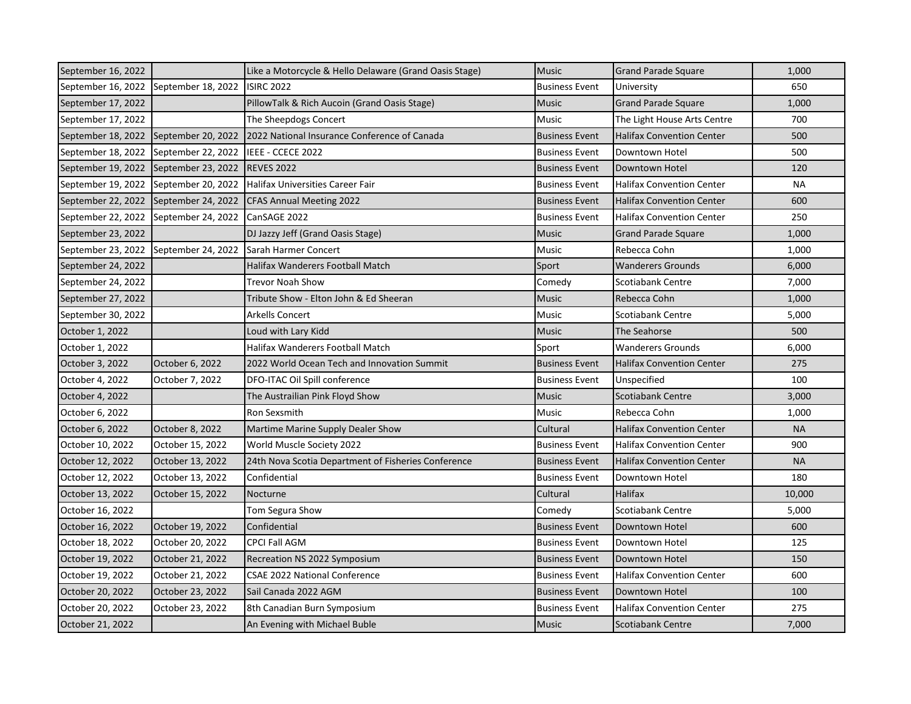| September 16, 2022 |                    | Like a Motorcycle & Hello Delaware (Grand Oasis Stage) | <b>Music</b>          | <b>Grand Parade Square</b>       | 1,000     |
|--------------------|--------------------|--------------------------------------------------------|-----------------------|----------------------------------|-----------|
| September 16, 2022 | September 18, 2022 | <b>ISIRC 2022</b>                                      | <b>Business Event</b> | University                       | 650       |
| September 17, 2022 |                    | PillowTalk & Rich Aucoin (Grand Oasis Stage)           | <b>Music</b>          | <b>Grand Parade Square</b>       | 1,000     |
| September 17, 2022 |                    | The Sheepdogs Concert                                  | <b>Music</b>          | The Light House Arts Centre      | 700       |
| September 18, 2022 | September 20, 2022 | 2022 National Insurance Conference of Canada           | <b>Business Event</b> | <b>Halifax Convention Center</b> | 500       |
| September 18, 2022 | September 22, 2022 | IEEE - CCECE 2022                                      | <b>Business Event</b> | Downtown Hotel                   | 500       |
| September 19, 2022 | September 23, 2022 | <b>REVES 2022</b>                                      | <b>Business Event</b> | Downtown Hotel                   | 120       |
| September 19, 2022 | September 20, 2022 | Halifax Universities Career Fair                       | <b>Business Event</b> | <b>Halifax Convention Center</b> | NA        |
| September 22, 2022 | September 24, 2022 | <b>CFAS Annual Meeting 2022</b>                        | <b>Business Event</b> | <b>Halifax Convention Center</b> | 600       |
| September 22, 2022 | September 24, 2022 | CanSAGE 2022                                           | <b>Business Event</b> | <b>Halifax Convention Center</b> | 250       |
| September 23, 2022 |                    | DJ Jazzy Jeff (Grand Oasis Stage)                      | <b>Music</b>          | <b>Grand Parade Square</b>       | 1,000     |
| September 23, 2022 | September 24, 2022 | Sarah Harmer Concert                                   | Music                 | Rebecca Cohn                     | 1,000     |
| September 24, 2022 |                    | Halifax Wanderers Football Match                       | Sport                 | <b>Wanderers Grounds</b>         | 6,000     |
| September 24, 2022 |                    | Trevor Noah Show                                       | Comedy                | Scotiabank Centre                | 7,000     |
| September 27, 2022 |                    | Tribute Show - Elton John & Ed Sheeran                 | Music                 | Rebecca Cohn                     | 1,000     |
| September 30, 2022 |                    | Arkells Concert                                        | Music                 | <b>Scotiabank Centre</b>         | 5,000     |
| October 1, 2022    |                    | Loud with Lary Kidd                                    | <b>Music</b>          | The Seahorse                     | 500       |
| October 1, 2022    |                    | Halifax Wanderers Football Match                       | Sport                 | <b>Wanderers Grounds</b>         | 6,000     |
| October 3, 2022    | October 6, 2022    | 2022 World Ocean Tech and Innovation Summit            | <b>Business Event</b> | <b>Halifax Convention Center</b> | 275       |
| October 4, 2022    | October 7, 2022    | DFO-ITAC Oil Spill conference                          | <b>Business Event</b> | Unspecified                      | 100       |
| October 4, 2022    |                    | The Austrailian Pink Floyd Show                        | <b>Music</b>          | <b>Scotiabank Centre</b>         | 3,000     |
| October 6, 2022    |                    | Ron Sexsmith                                           | Music                 | Rebecca Cohn                     | 1,000     |
| October 6, 2022    | October 8, 2022    | Martime Marine Supply Dealer Show                      | Cultural              | Halifax Convention Center        | <b>NA</b> |
| October 10, 2022   | October 15, 2022   | World Muscle Society 2022                              | <b>Business Event</b> | <b>Halifax Convention Center</b> | 900       |
| October 12, 2022   | October 13, 2022   | 24th Nova Scotia Department of Fisheries Conference    | <b>Business Event</b> | <b>Halifax Convention Center</b> | <b>NA</b> |
| October 12, 2022   | October 13, 2022   | Confidential                                           | <b>Business Event</b> | Downtown Hotel                   | 180       |
| October 13, 2022   | October 15, 2022   | Nocturne                                               | Cultural              | Halifax                          | 10,000    |
| October 16, 2022   |                    | Tom Segura Show                                        | Comedy                | <b>Scotiabank Centre</b>         | 5,000     |
| October 16, 2022   | October 19, 2022   | Confidential                                           | <b>Business Event</b> | Downtown Hotel                   | 600       |
| October 18, 2022   | October 20, 2022   | <b>CPCI Fall AGM</b>                                   | <b>Business Event</b> | Downtown Hotel                   | 125       |
| October 19, 2022   | October 21, 2022   | Recreation NS 2022 Symposium                           | <b>Business Event</b> | Downtown Hotel                   | 150       |
| October 19, 2022   | October 21, 2022   | <b>CSAE 2022 National Conference</b>                   | <b>Business Event</b> | <b>Halifax Convention Center</b> | 600       |
| October 20, 2022   | October 23, 2022   | Sail Canada 2022 AGM                                   | <b>Business Event</b> | Downtown Hotel                   | 100       |
| October 20, 2022   | October 23, 2022   | 8th Canadian Burn Symposium                            | <b>Business Event</b> | <b>Halifax Convention Center</b> | 275       |
| October 21, 2022   |                    | An Evening with Michael Buble                          | <b>Music</b>          | Scotiabank Centre                | 7,000     |